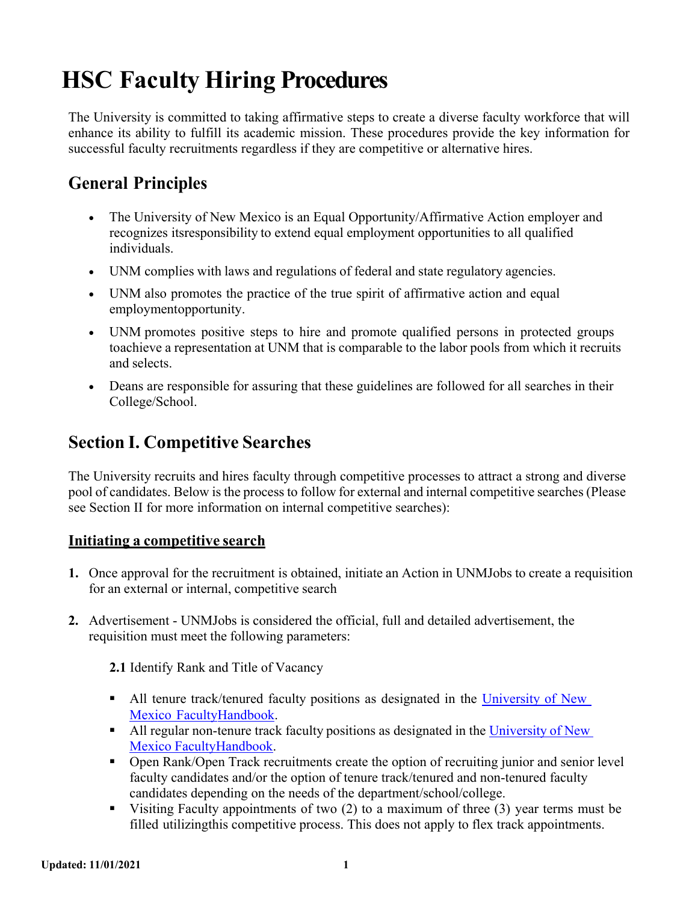# **HSC Faculty Hiring Procedures**

The University is committed to taking affirmative steps to create a diverse faculty workforce that will enhance its ability to fulfill its academic mission. These procedures provide the key information for successful faculty recruitments regardless if they are competitive or alternative hires.

### **General Principles**

- The University of New Mexico is an Equal Opportunity/Affirmative Action employer and recognizes itsresponsibility to extend equal employment opportunities to all qualified individuals.
- UNM complies with laws and regulations of federal and state regulatory agencies.
- UNM also promotes the practice of the true spirit of affirmative action and equal employmentopportunity.
- UNM promotes positive steps to hire and promote qualified persons in protected groups toachieve a representation at UNM that is comparable to the labor pools from which it recruits and selects.
- Deans are responsible for assuring that these guidelines are followed for all searches in their College/School.

### <span id="page-0-0"></span>**Section I. Competitive Searches**

The University recruits and hires faculty through competitive processes to attract a strong and diverse pool of candidates. Below is the process to follow for external and internal competitive searches (Please see Section II for more information on internal competitive searches):

#### **Initiating a competitive search**

- **1.** Once approval for the recruitment is obtained, initiate an Action in UNMJobs to create a requisition for an external or internal, competitive search
- **2.** Advertisement UNMJobs is considered the official, full and detailed advertisement, the requisition must meet the following parameters:

**2.1** Identify Rank and Title of Vacancy

- All tenure track/tenured faculty positions as designated in the [University](http://handbook.unm.edu/) of New Mexico [FacultyHandbook.](http://handbook.unm.edu/)
- All regular non-tenure track faculty positions as designated in the [University](http://handbook.unm.edu/) of New Mexico [FacultyHandbook.](http://handbook.unm.edu/)
- Open Rank/Open Track recruitments create the option of recruiting junior and senior level faculty candidates and/or the option of tenure track/tenured and non-tenured faculty candidates depending on the needs of the department/school/college.
- Visiting Faculty appointments of two  $(2)$  to a maximum of three  $(3)$  year terms must be filled utilizingthis competitive process. This does not apply to flex track appointments.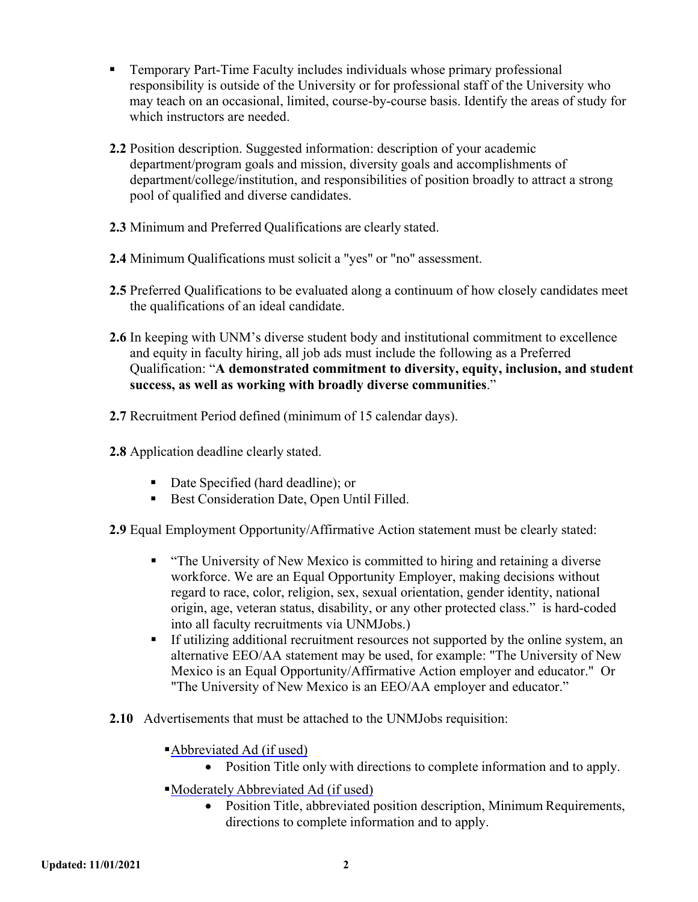- Temporary Part-Time Faculty includes individuals whose primary professional responsibility is outside of the University or for professional staff of the University who may teach on an occasional, limited, course-by-course basis. Identify the areas of study for which instructors are needed.
- **2.2** Position description. Suggested information: description of your academic department/program goals and mission, diversity goals and accomplishments of department/college/institution, and responsibilities of position broadly to attract a strong pool of qualified and diverse candidates.
- **2.3** Minimum and Preferred Qualifications are clearly stated.
- **2.4** Minimum Qualifications must solicit a "yes" or "no" assessment.
- **2.5** Preferred Qualifications to be evaluated along a continuum of how closely candidates meet the qualifications of an ideal candidate.
- **2.6** In keeping with UNM's diverse student body and institutional commitment to excellence and equity in faculty hiring, all job ads must include the following as a Preferred Qualification: "**A demonstrated commitment to diversity, equity, inclusion, and student success, as well as working with broadly diverse communities**."
- **2.7** Recruitment Period defined (minimum of 15 calendar days).
- **2.8** Application deadline clearly stated.
	- Date Specified (hard deadline); or
	- Best Consideration Date, Open Until Filled.

**2.9** Equal Employment Opportunity/Affirmative Action statement must be clearly stated:

- "The University of New Mexico is committed to hiring and retaining a diverse workforce. We are an Equal Opportunity Employer, making decisions without regard to race, color, religion, sex, sexual orientation, gender identity, national origin, age, veteran status, disability, or any other protected class." is hard-coded into all faculty recruitments via UNMJobs.)
- If utilizing additional recruitment resources not supported by the online system, an alternative EEO/AA statement may be used, for example: "The University of New Mexico is an Equal Opportunity/Affirmative Action employer and educator." Or "The University of New Mexico is an EEO/AA employer and educator."
- **2.10** Advertisements that must be attached to the UNMJobs requisition:
	- Abbreviated Ad (if used)
		- Position Title only with directions to complete information and to apply.
	- Moderately Abbreviated Ad (if used)
		- Position Title, abbreviated position description, Minimum Requirements, directions to complete information and to apply.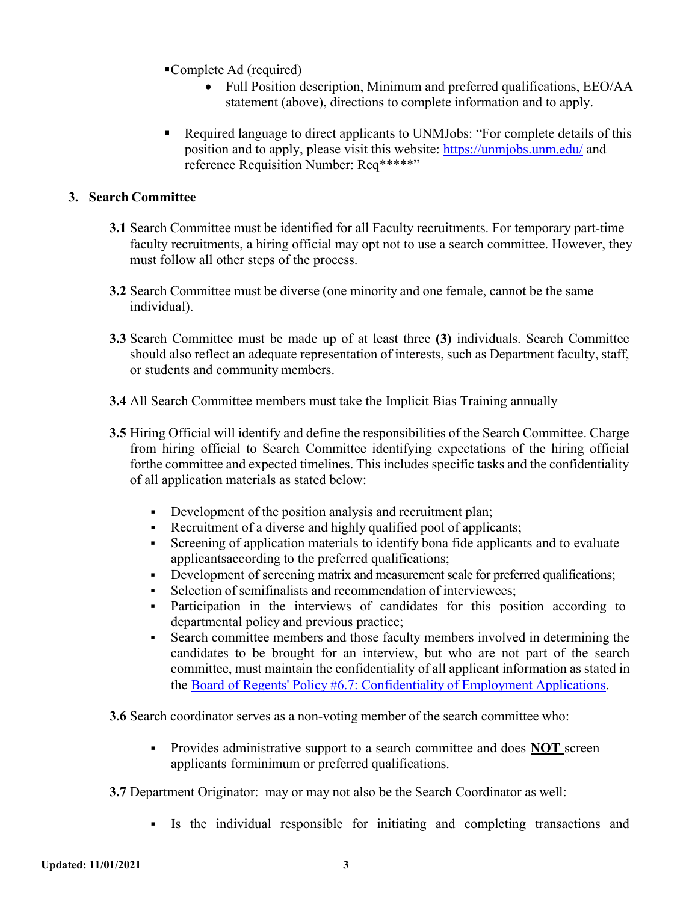- Complete Ad (required)
	- Full Position description, Minimum and preferred qualifications, EEO/AA statement (above), directions to complete information and to apply.
- Required language to direct applicants to UNMJobs: "For complete details of this position and to apply, please visit this website:<https://unmjobs.unm.edu/> and reference Requisition Number: Req\*\*\*\*\*"

#### **3. Search Committee**

- **3.1** Search Committee must be identified for all Faculty recruitments. For temporary part-time faculty recruitments, a hiring official may opt not to use a search committee. However, they must follow all other steps of the process.
- **3.2** Search Committee must be diverse (one minority and one female, cannot be the same individual).
- **3.3** Search Committee must be made up of at least three **(3)** individuals. Search Committee should also reflect an adequate representation of interests, such as Department faculty, staff, or students and community members.
- **3.4** All Search Committee members must take the Implicit Bias Training annually
- **3.5** Hiring Official will identify and define the responsibilities of the Search Committee. Charge from hiring official to Search Committee identifying expectations of the hiring official forthe committee and expected timelines. This includes specific tasks and the confidentiality of all application materials as stated below:
	- Development of the position analysis and recruitment plan;
	- Recruitment of a diverse and highly qualified pool of applicants;
	- Screening of application materials to identify bona fide applicants and to evaluate applicantsaccording to the preferred qualifications;
	- Development of screening matrix and measurement scale for preferred qualifications;
	- Selection of semifinalists and recommendation of interviewees;
	- Participation in the interviews of candidates for this position according to departmental policy and previous practice;
	- Search committee members and those faculty members involved in determining the candidates to be brought for an interview, but who are not part of the search committee, must maintain the confidentiality of all applicant information as stated in the [Board of Regents'](https://policy.unm.edu/regents-policies/section-6/6-7.html) Policy [#6.7: Confidentiality](http://www.unm.edu/%7Ebrpm/r67.htm) of Employment Applications.

**3.6** Search coordinator serves as a non-voting member of the search committee who:

 Provides administrative support to a search committee and does **NOT** screen applicants forminimum or preferred qualifications.

**3.7** Department Originator: may or may not also be the Search Coordinator as well:

Is the individual responsible for initiating and completing transactions and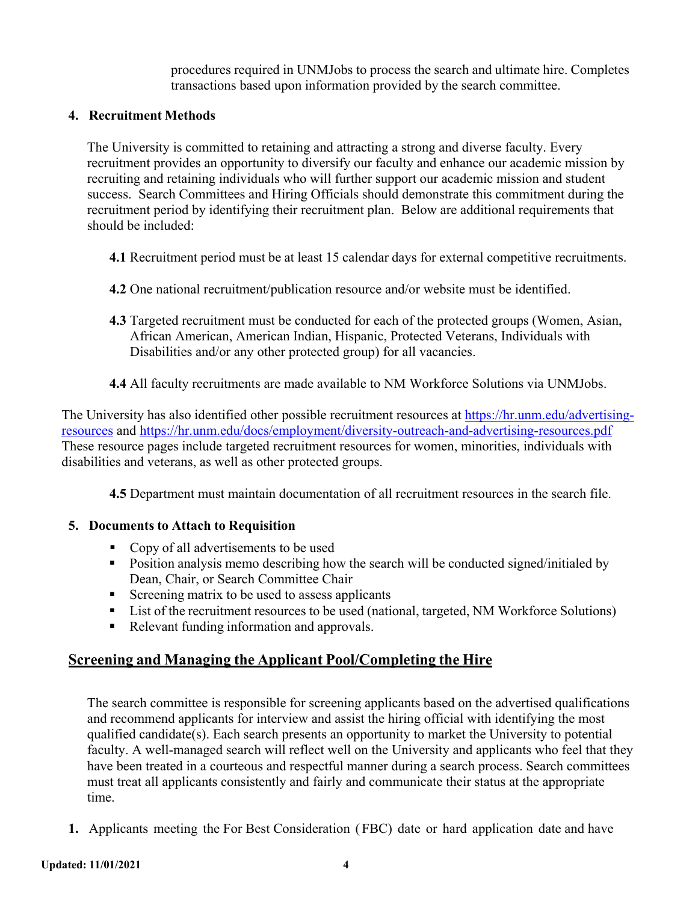procedures required in UNMJobs to process the search and ultimate hire. Completes transactions based upon information provided by the search committee.

#### **4. Recruitment Methods**

The University is committed to retaining and attracting a strong and diverse faculty. Every recruitment provides an opportunity to diversify our faculty and enhance our academic mission by recruiting and retaining individuals who will further support our academic mission and student success. Search Committees and Hiring Officials should demonstrate this commitment during the recruitment period by identifying their recruitment plan. Below are additional requirements that should be included:

- **4.1** Recruitment period must be at least 15 calendar days for external competitive recruitments.
- **4.2** One national recruitment/publication resource and/or website must be identified.
- **4.3** [Targeted recruitment m](https://hr.unm.edu/docs/employment/diversity-outreach-and-advertising-resources.pdf)ust be conducted for each of the protected groups (Women, Asian, African American, American Indian, Hispanic, Protected Veterans, Individuals with Disabilities and/or any other protected group) for all vacancies.
- **4.4** All faculty recruitments are made available to NM Workforce Solutions via UNMJobs.

The University has also identified other possible recruitment resources at [https://hr.unm.edu/advertising](https://hr.unm.edu/advertising-resources)[resources](https://hr.unm.edu/advertising-resources) and<https://hr.unm.edu/docs/employment/diversity-outreach-and-advertising-resources.pdf> These resource pages include targeted recruitment resources for women, minorities, individuals with disabilities and veterans, as well as other protected groups.

**4.5** Department must maintain documentation of all recruitment resources in the search file.

#### **5. Documents to Attach to Requisition**

- Copy of all advertisements to be used
- Position analysis memo describing how the search will be conducted signed/initialed by Dean, Chair, or Search Committee Chair
- Screening matrix to be used to assess applicants
- List of the recruitment resources to be used (national, targeted, NM Workforce Solutions)
- Relevant funding information and approvals.

#### **Screening and Managing the Applicant Pool/Completing the Hire**

The search committee is responsible for screening applicants based on the advertised qualifications and recommend applicants for interview and assist the hiring official with identifying the most qualified candidate(s). Each search presents an opportunity to market the University to potential faculty. A well-managed search will reflect well on the University and applicants who feel that they have been treated in a courteous and respectful manner during a search process. Search committees must treat all applicants consistently and fairly and communicate their status at the appropriate time.

**1.** Applicants meeting the For Best Consideration ( FBC) date or hard application date and have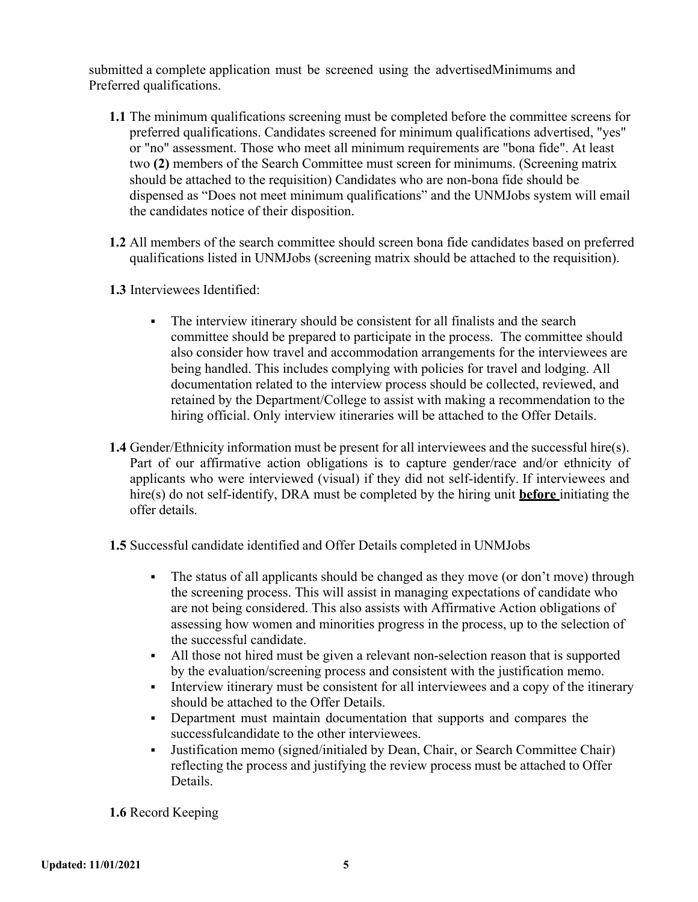submitted a complete application must be screened using the advertisedMinimums and Preferred qualifications.

- **1.1** The minimum qualifications screening must be completed before the committee screens for preferred qualifications. Candidates screened for minimum qualifications advertised, "yes" or "no" assessment. Those who meet all minimum requirements are "bona fide". At least two **(2)** members of the Search Committee must screen for minimums. (Screening matrix should be attached to the requisition) Candidates who are non-bona fide should be dispensed as "Does not meet minimum qualifications" and the UNMJobs system will email the candidates notice of their disposition.
- **1.2** All members of the search committee should screen bona fide candidates based on preferred qualifications listed in UNMJobs (screening matrix should be attached to the requisition).
- **1.3** Interviewees Identified:
	- The interview itinerary should be consistent for all finalists and the search committee should be prepared to participate in the process. The committee should also consider how travel and accommodation arrangements for the interviewees are being handled. This includes complying with policies for travel and lodging. All documentation related to the interview process should be collected, reviewed, and retained by the Department/College to assist with making a recommendation to the hiring official. Only interview itineraries will be attached to the Offer Details.
- **1.4** Gender/Ethnicity information must be present for all interviewees and the successful hire(s). Part of our affirmative action obligations is to capture gender/race and/or ethnicity of applicants who were interviewed (visual) if they did not self-identify. If interviewees and hire(s) do not self-identify, DRA must be completed by the hiring unit **before** initiating the offer details.
- **1.5** Successful candidate identified and Offer Details completed in UNMJobs
	- The status of all applicants should be changed as they move (or don't move) through the screening process. This will assist in managing expectations of candidate who are not being considered. This also assists with Affirmative Action obligations of assessing how women and minorities progress in the process, up to the selection of the successful candidate.
	- All those not hired must be given a relevant non-selection reason that is supported by the evaluation/screening process and consistent with the justification memo.
	- Interview itinerary must be consistent for all interviewees and a copy of the itinerary should be attached to the Offer Details.
	- Department must maintain documentation that supports and compares the successfulcandidate to the other interviewees.
	- Justification memo (signed/initialed by Dean, Chair, or Search Committee Chair) reflecting the process and justifying the review process must be attached to Offer Details.

**1.6** Record Keeping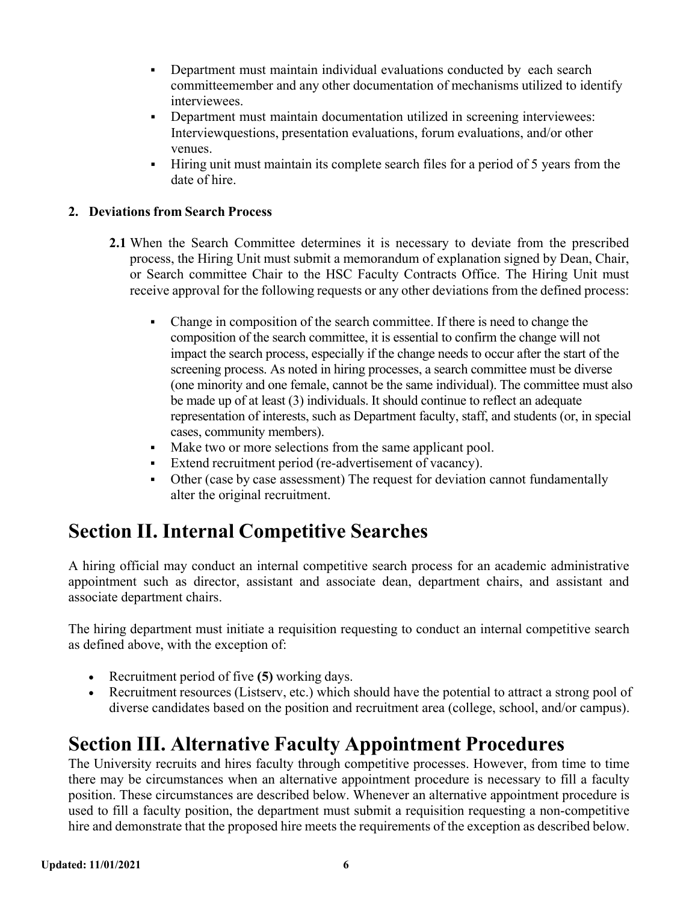- Department must maintain individual evaluations conducted by each search committeemember and any other documentation of mechanisms utilized to identify interviewees.
- Department must maintain documentation utilized in screening interviewees: Interviewquestions, presentation evaluations, forum evaluations, and/or other venues.
- Hiring unit must maintain its complete search files for a period of 5 years from the date of hire.

#### **2. Deviations from Search Process**

- **2.1** When the Search Committee determines it is necessary to deviate from the prescribed process, the Hiring Unit must submit a memorandum of explanation signed by Dean, Chair, or Search committee Chair to the HSC Faculty Contracts Office. The Hiring Unit must receive approval for the following requests or any other deviations from the defined process:
	- Change in composition of the search committee. If there is need to change the composition of the search committee, it is essential to confirm the change will not impact the search process, especially if the change needs to occur after the start of the screening process. As noted in hiring processes, a search committee must be diverse (one minority and one female, cannot be the same individual). The committee must also be made up of at least (3) individuals. It should continue to reflect an adequate representation of interests, such as Department faculty, staff, and students (or, in special cases, community members).
	- Make two or more selections from the same applicant pool.
	- Extend recruitment period (re-advertisement of vacancy).
	- Other (case by case assessment) The request for deviation cannot fundamentally alter the original recruitment.

## <span id="page-5-0"></span>**Section II. Internal Competitive Searches**

A hiring official may conduct an internal competitive search process for an academic administrative appointment such as director, assistant and associate dean, department chairs, and assistant and associate department chairs.

The hiring department must initiate a requisition requesting to conduct an internal competitive search as defined above, with the exception of:

- Recruitment period of five **(5)** working days.
- Recruitment resources (Listserv, etc.) which should have the potential to attract a strong pool of diverse candidates based on the position and recruitment area (college, school, and/or campus).

## **Section III. Alternative Faculty Appointment Procedures**

The University recruits and hires faculty through competitive processes. However, from time to time there may be circumstances when an alternative appointment procedure is necessary to fill a faculty position. These circumstances are described below. Whenever an alternative appointment procedure is used to fill a faculty position, the department must submit a requisition requesting a non-competitive hire and demonstrate that the proposed hire meets the requirements of the exception as described below.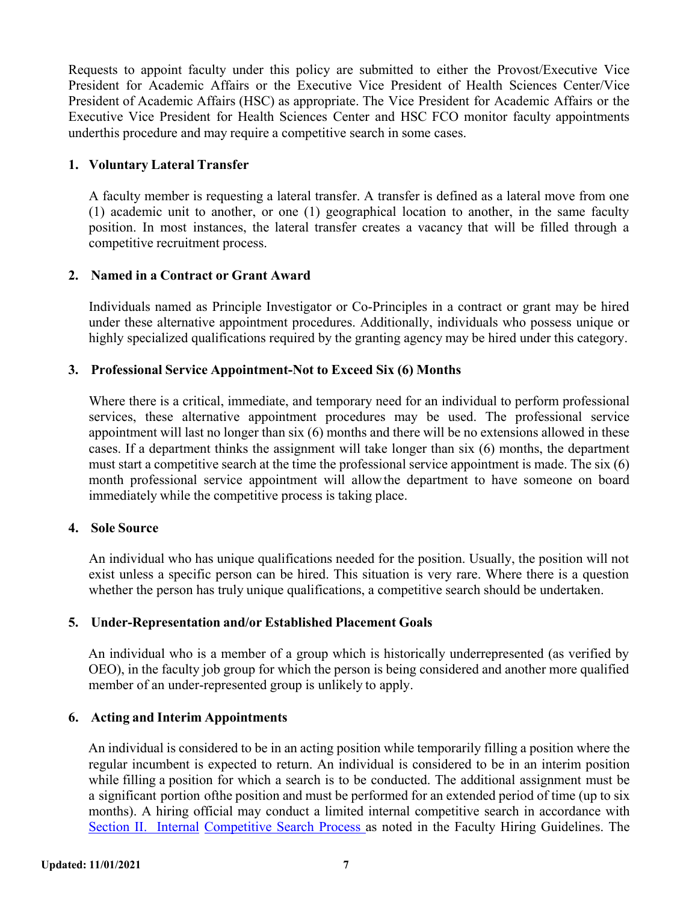Requests to appoint faculty under this policy are submitted to either the Provost/Executive Vice President for Academic Affairs or the Executive Vice President of Health Sciences Center/Vice President of Academic Affairs (HSC) as appropriate. The Vice President for Academic Affairs or the Executive Vice President for Health Sciences Center and HSC FCO monitor faculty appointments underthis procedure and may require a competitive search in some cases.

#### **1. Voluntary Lateral Transfer**

A faculty member is requesting a lateral transfer. A transfer is defined as a lateral move from one (1) academic unit to another, or one (1) geographical location to another, in the same faculty position. In most instances, the lateral transfer creates a vacancy that will be filled through a competitive recruitment process.

#### **2. Named in a Contract or Grant Award**

Individuals named as Principle Investigator or Co-Principles in a contract or grant may be hired under these alternative appointment procedures. Additionally, individuals who possess unique or highly specialized qualifications required by the granting agency may be hired under this category.

#### **3. Professional Service Appointment-Not to Exceed Six (6) Months**

Where there is a critical, immediate, and temporary need for an individual to perform professional services, these alternative appointment procedures may be used. The professional service appointment will last no longer than six (6) months and there will be no extensions allowed in these cases. If a department thinks the assignment will take longer than six (6) months, the department must start a competitive search at the time the professional service appointment is made. The six (6) month professional service appointment will allowthe department to have someone on board immediately while the competitive process is taking place.

#### **4. Sole Source**

An individual who has unique qualifications needed for the position. Usually, the position will not exist unless a specific person can be hired. This situation is very rare. Where there is a question whether the person has truly unique qualifications, a competitive search should be undertaken.

#### **5. Under-Representation and/or Established Placement Goals**

An individual who is a member of a group which is historically underrepresented (as verified by OEO), in the faculty job group for which the person is being considered and another more qualified member of an under-represented group is unlikely to apply.

#### **6. Acting and Interim Appointments**

An individual is considered to be in an acting position while temporarily filling a position where the regular incumbent is expected to return. An individual is considered to be in an interim position while filling a position for which a search is to be conducted. The additional assignment must be a significant portion ofthe position and must be performed for an extended period of time (up to six months). A hiring official may conduct a limited internal competitive search in accordance with Section II. [Internal](#page-5-0) [Competitive](#page-5-0) Search Process as noted in the Faculty Hiring Guidelines. The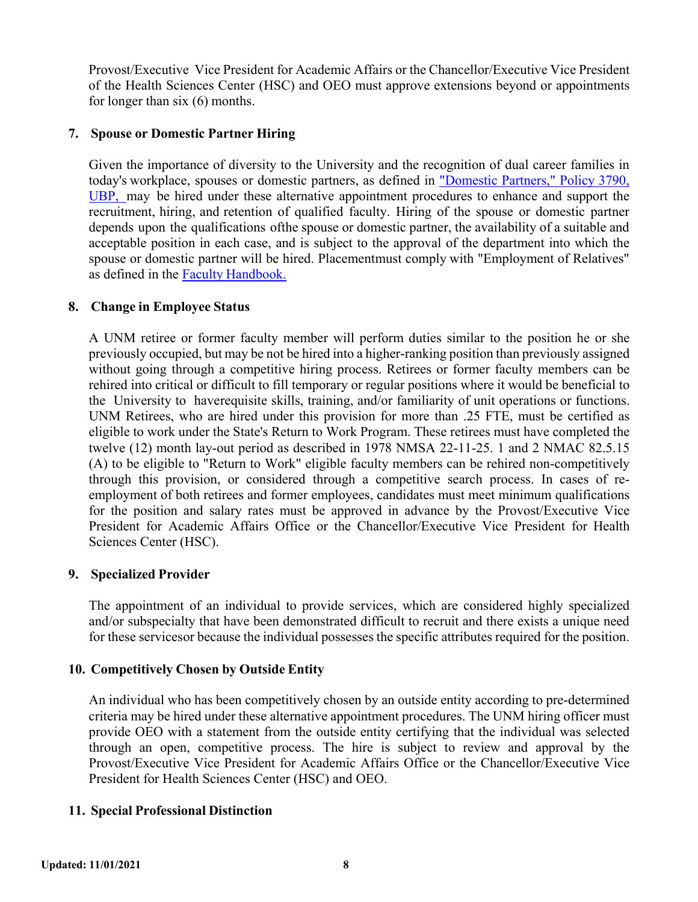Provost/Executive Vice President for Academic Affairs or the Chancellor/Executive Vice President of the Health Sciences Center (HSC) and OEO must approve extensions beyond or appointments for longer than six (6) months.

#### **7. Spouse or Domestic Partner Hiring**

Given the importance of diversity to the University and the recognition of dual career families in today's workplace, spouses or domestic partners, as defined in ["Domestic](http://www.unm.edu/%7Eubppm/ubppmanual/3790.htm) Partners," Policy 3790, [UBP,](http://www.unm.edu/%7Eubppm/ubppmanual/3790.htm) may be hired under these alternative appointment procedures to enhance and support the recruitment, hiring, and retention of qualified faculty. Hiring of the spouse or domestic partner depends upon the qualifications ofthe spouse or domestic partner, the availability of a suitable and acceptable position in each case, and is subject to the approval of the department into which the spouse or domestic partner will be hired. Placementmust comply with "Employment of Relatives" as defined in the Faculty [Handbook.](http://handbook.unm.edu/)

#### **8. Change in Employee Status**

A UNM retiree or former faculty member will perform duties similar to the position he or she previously occupied, but may be not be hired into a higher-ranking position than previously assigned without going through a competitive hiring process. Retirees or former faculty members can be rehired into critical or difficult to fill temporary or regular positions where it would be beneficial to the University to haverequisite skills, training, and/or familiarity of unit operations or functions. UNM Retirees, who are hired under this provision for more than .25 FTE, must be certified as eligible to work under the State's Return to Work Program. These retirees must have completed the twelve (12) month lay-out period as described in 1978 NMSA 22-11-25. 1 and 2 NMAC 82.5.15 (A) to be eligible to "Return to Work" eligible faculty members can be rehired non-competitively through this provision, or considered through a competitive search process. In cases of reemployment of both retirees and former employees, candidates must meet minimum qualifications for the position and salary rates must be approved in advance by the Provost/Executive Vice President for Academic Affairs Office or the Chancellor/Executive Vice President for Health Sciences Center (HSC).

#### **9. Specialized Provider**

The appointment of an individual to provide services, which are considered highly specialized and/or subspecialty that have been demonstrated difficult to recruit and there exists a unique need for these servicesor because the individual possesses the specific attributes required for the position.

#### **10. Competitively Chosen by Outside Entity**

An individual who has been competitively chosen by an outside entity according to pre-determined criteria may be hired under these alternative appointment procedures. The UNM hiring officer must provide OEO with a statement from the outside entity certifying that the individual was selected through an open, competitive process. The hire is subject to review and approval by the Provost/Executive Vice President for Academic Affairs Office or the Chancellor/Executive Vice President for Health Sciences Center (HSC) and OEO.

#### **11. Special Professional Distinction**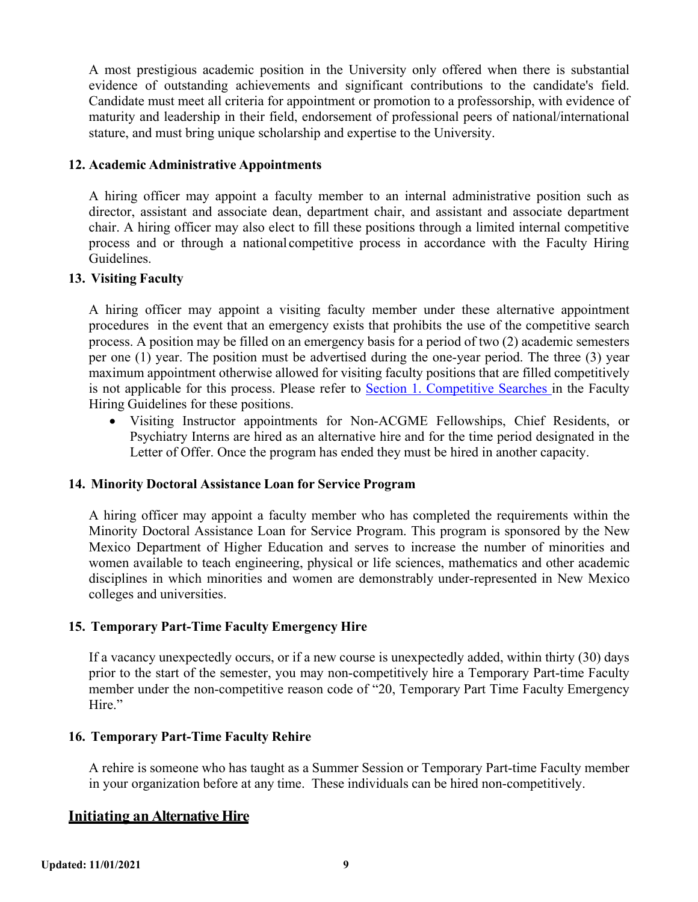A most prestigious academic position in the University only offered when there is substantial evidence of outstanding achievements and significant contributions to the candidate's field. Candidate must meet all criteria for appointment or promotion to a professorship, with evidence of maturity and leadership in their field, endorsement of professional peers of national/international stature, and must bring unique scholarship and expertise to the University.

#### **12. Academic Administrative Appointments**

A hiring officer may appoint a faculty member to an internal administrative position such as director, assistant and associate dean, department chair, and assistant and associate department chair. A hiring officer may also elect to fill these positions through a limited internal competitive process and or through a national competitive process in accordance with the Faculty Hiring Guidelines.

#### **13. Visiting Faculty**

A hiring officer may appoint a visiting faculty member under these alternative appointment procedures in the event that an emergency exists that prohibits the use of the competitive search process. A position may be filled on an emergency basis for a period of two (2) academic semesters per one (1) year. The position must be advertised during the one-year period. The three (3) year maximum appointment otherwise allowed for visiting faculty positions that are filled competitively is not applicable for this process. Please refer to Section [1. Competitive](#page-0-0) Searches in the Faculty Hiring Guidelines for these positions.

• Visiting Instructor appointments for Non-ACGME Fellowships, Chief Residents, or Psychiatry Interns are hired as an alternative hire and for the time period designated in the Letter of Offer. Once the program has ended they must be hired in another capacity.

#### **14. Minority Doctoral Assistance Loan for Service Program**

A hiring officer may appoint a faculty member who has completed the requirements within the Minority Doctoral Assistance Loan for Service Program. This program is sponsored by the New Mexico Department of Higher Education and serves to increase the number of minorities and women available to teach engineering, physical or life sciences, mathematics and other academic disciplines in which minorities and women are demonstrably under-represented in New Mexico colleges and universities.

#### **15. Temporary Part-Time Faculty Emergency Hire**

If a vacancy unexpectedly occurs, or if a new course is unexpectedly added, within thirty (30) days prior to the start of the semester, you may non-competitively hire a Temporary Part-time Faculty member under the non-competitive reason code of "20, Temporary Part Time Faculty Emergency Hire."

#### **16. Temporary Part-Time Faculty Rehire**

A rehire is someone who has taught as a Summer Session or Temporary Part-time Faculty member in your organization before at any time. These individuals can be hired non-competitively.

#### **Initiating an Alternative Hire**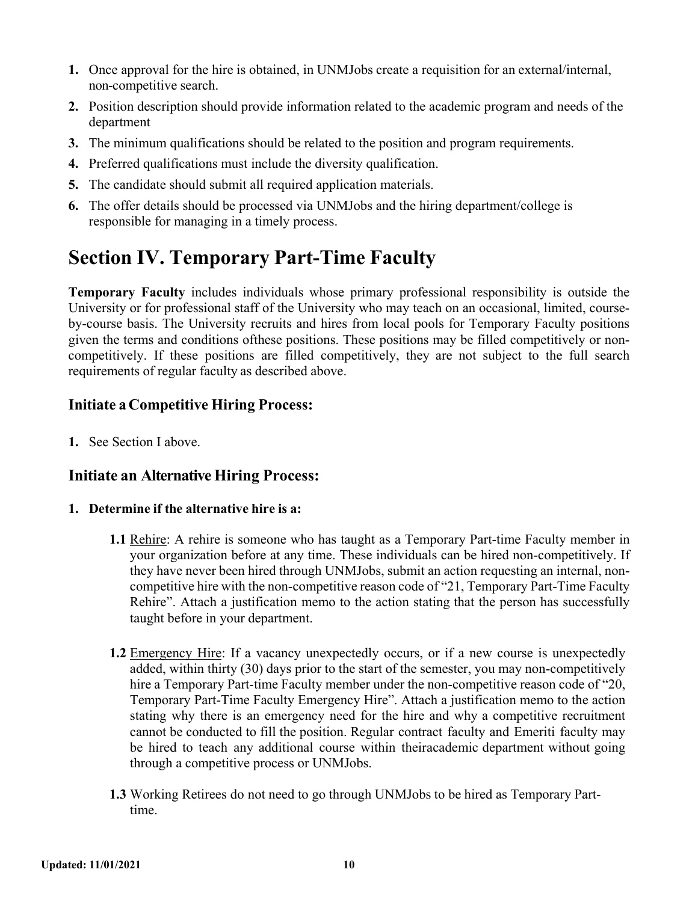- **1.** Once approval for the hire is obtained, in UNMJobs create a requisition for an external/internal, non-competitive search.
- **2.** Position description should provide information related to the academic program and needs of the department
- **3.** The minimum qualifications should be related to the position and program requirements.
- **4.** Preferred qualifications must include the diversity qualification.
- **5.** The candidate should submit all required application materials.
- **6.** The offer details should be processed via UNMJobs and the hiring department/college is responsible for managing in a timely process.

## **Section IV. Temporary Part-Time Faculty**

**Temporary Faculty** includes individuals whose primary professional responsibility is outside the University or for professional staff of the University who may teach on an occasional, limited, courseby-course basis. The University recruits and hires from local pools for Temporary Faculty positions given the terms and conditions ofthese positions. These positions may be filled competitively or noncompetitively. If these positions are filled competitively, they are not subject to the full search requirements of regular faculty as described above.

#### **Initiate a Competitive Hiring Process:**

**1.** See Section I above.

#### **Initiate an Alternative Hiring Process:**

#### **1. Determine if the alternative hire is a:**

- **1.1** Rehire: A rehire is someone who has taught as a Temporary Part-time Faculty member in your organization before at any time. These individuals can be hired non-competitively. If they have never been hired through UNMJobs, submit an action requesting an internal, noncompetitive hire with the non-competitive reason code of "21, Temporary Part-Time Faculty Rehire". Attach a justification memo to the action stating that the person has successfully taught before in your department.
- **1.2** Emergency Hire: If a vacancy unexpectedly occurs, or if a new course is unexpectedly added, within thirty (30) days prior to the start of the semester, you may non-competitively hire a Temporary Part-time Faculty member under the non-competitive reason code of "20, Temporary Part-Time Faculty Emergency Hire". Attach a justification memo to the action stating why there is an emergency need for the hire and why a competitive recruitment cannot be conducted to fill the position. Regular contract faculty and Emeriti faculty may be hired to teach any additional course within theiracademic department without going through a competitive process or UNMJobs.
- **1.3** Working Retirees do not need to go through UNMJobs to be hired as Temporary Parttime.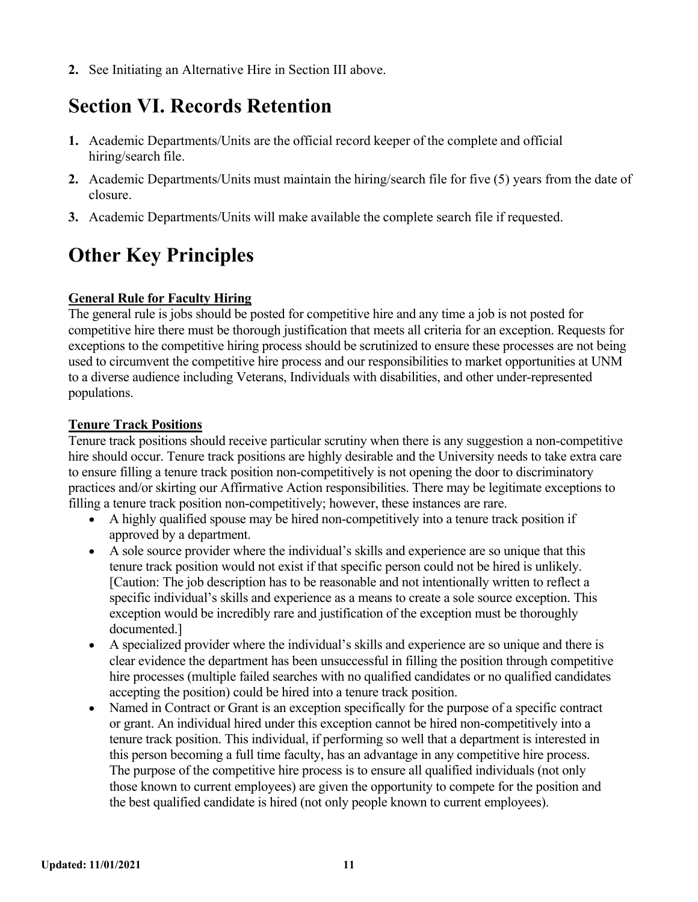**2.** See Initiating an Alternative Hire in Section III above.

## **Section VI. Records Retention**

- **1.** Academic Departments/Units are the official record keeper of the complete and official hiring/search file.
- **2.** Academic Departments/Units must maintain the hiring/search file for five (5) years from the date of closure.
- **3.** Academic Departments/Units will make available the complete search file if requested.

## **Other Key Principles**

#### **General Rule for Faculty Hiring**

The general rule is jobs should be posted for competitive hire and any time a job is not posted for competitive hire there must be thorough justification that meets all criteria for an exception. Requests for exceptions to the competitive hiring process should be scrutinized to ensure these processes are not being used to circumvent the competitive hire process and our responsibilities to market opportunities at UNM to a diverse audience including Veterans, Individuals with disabilities, and other under-represented populations.

#### **Tenure Track Positions**

Tenure track positions should receive particular scrutiny when there is any suggestion a non-competitive hire should occur. Tenure track positions are highly desirable and the University needs to take extra care to ensure filling a tenure track position non-competitively is not opening the door to discriminatory practices and/or skirting our Affirmative Action responsibilities. There may be legitimate exceptions to filling a tenure track position non-competitively; however, these instances are rare.

- A highly qualified spouse may be hired non-competitively into a tenure track position if approved by a department.
- A sole source provider where the individual's skills and experience are so unique that this tenure track position would not exist if that specific person could not be hired is unlikely. [Caution: The job description has to be reasonable and not intentionally written to reflect a specific individual's skills and experience as a means to create a sole source exception. This exception would be incredibly rare and justification of the exception must be thoroughly documented.]
- A specialized provider where the individual's skills and experience are so unique and there is clear evidence the department has been unsuccessful in filling the position through competitive hire processes (multiple failed searches with no qualified candidates or no qualified candidates accepting the position) could be hired into a tenure track position.
- Named in Contract or Grant is an exception specifically for the purpose of a specific contract or grant. An individual hired under this exception cannot be hired non-competitively into a tenure track position. This individual, if performing so well that a department is interested in this person becoming a full time faculty, has an advantage in any competitive hire process. The purpose of the competitive hire process is to ensure all qualified individuals (not only those known to current employees) are given the opportunity to compete for the position and the best qualified candidate is hired (not only people known to current employees).